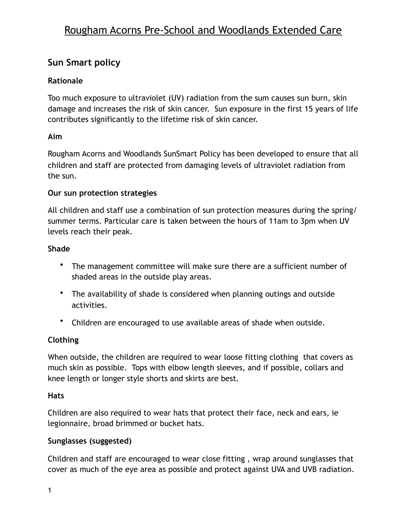# Rougham Acorns Pre-School and Woodlands Extended Care

## **Sun Smart policy**

## **Rationale**

Too much exposure to ultraviolet (UV) radiation from the sum causes sun burn, skin damage and increases the risk of skin cancer. Sun exposure in the first 15 years of life contributes significantly to the lifetime risk of skin cancer.

## **Aim**

Rougham Acorns and Woodlands SunSmart Policy has been developed to ensure that all children and staff are protected from damaging levels of ultraviolet radiation from the sun.

#### **Our sun protection strategies**

All children and staff use a combination of sun protection measures during the spring/ summer terms. Particular care is taken between the hours of 11am to 3pm when UV levels reach their peak.

#### **Shade**

- The management committee will make sure there are a sufficient number of shaded areas in the outside play areas.
- The availability of shade is considered when planning outings and outside activities.
- Children are encouraged to use available areas of shade when outside.

## **Clothing**

When outside, the children are required to wear loose fitting clothing that covers as much skin as possible. Tops with elbow length sleeves, and if possible, collars and knee length or longer style shorts and skirts are best.

#### **Hats**

Children are also required to wear hats that protect their face, neck and ears, ie legionnaire, broad brimmed or bucket hats.

## **Sunglasses (suggested)**

Children and staff are encouraged to wear close fitting , wrap around sunglasses that cover as much of the eye area as possible and protect against UVA and UVB radiation.